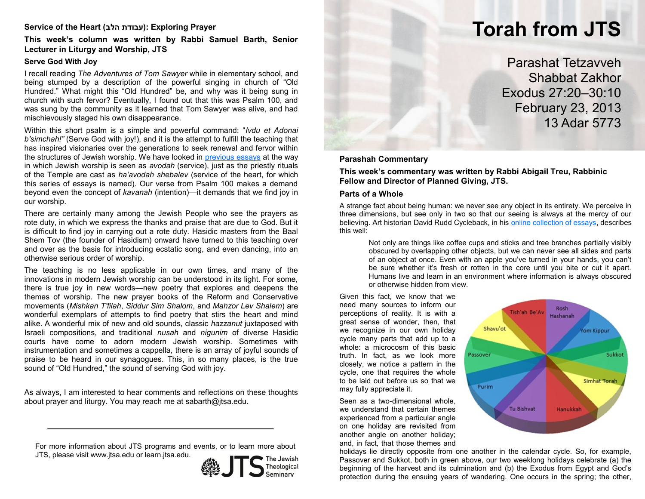# **Service of the Heart (הלב עבודת(: Exploring Prayer**

# **This week's column was written by Rabbi Samuel Barth, Senior Lecturer in Liturgy and Worship, JTS**

# **Serve God With Joy**

I recall reading *The Adventures of Tom Sawyer* while in elementary school, and being stumped by a description of the powerful singing in church of "Old Hundred." What might this "Old Hundred" be, and why was it being sung in church with such fervor? Eventually, I found out that this was Psalm 100, and was sung by the community as it learned that Tom Sawyer was alive, and had mischievously staged his own disappearance.

Within this short psalm is a simple and powerful command: "*Ivdu et Adonai b'simchah!"* (Serve God with joy!), and it is the attempt to fulfill the teaching that has inspired visionaries over the generations to seek renewal and fervor within the structures of Jewish worship. We have looked in [previous essays](http://learn.jtsa.edu/content/commentary/va-ethannan/5772/avodah-service-god) at the way in which Jewish worship is seen as *avodah* (service), just as the priestly rituals of the Temple are cast as *ha'avodah shebalev* (service of the heart, for which this series of essays is named). Our verse from Psalm 100 makes a demand beyond even the concept of *kavanah* (intention)—it demands that we find joy in our worship.

There are certainly many among the Jewish People who see the prayers as rote duty, in which we express the thanks and praise that are due to God. But it is difficult to find joy in carrying out a rote duty. Hasidic masters from the Baal Shem Tov (the founder of Hasidism) onward have turned to this teaching over and over as the basis for introducing ecstatic song, and even dancing, into an otherwise serious order of worship.

The teaching is no less applicable in our own times, and many of the innovations in modern Jewish worship can be understood in its light. For some, there is true joy in new words—new poetry that explores and deepens the themes of worship. The new prayer books of the Reform and Conservative movements (*Mishkan T'filah*, *Siddur Sim Shalom*, and *Mahzor Lev Shalem*) are wonderful exemplars of attempts to find poetry that stirs the heart and mind alike. A wonderful mix of new and old sounds, classic *hazzanut* juxtaposed with Israeli compositions, and traditional *nusah* and *nigunim* of diverse Hasidic courts have come to adorn modern Jewish worship. Sometimes with instrumentation and sometimes a cappella, there is an array of joyful sounds of praise to be heard in our synagogues. This, in so many places, is the true sound of "Old Hundred," the sound of serving God with joy.

As always, I am interested to hear comments and reflections on these thoughts about prayer and liturgy. You may reach me at sabarth@jtsa.edu.

For more information about JTS programs and events, or to learn more about JTS, please visit www.jtsa.edu or learn.jtsa.edu.



# **Torah from JTS**

Parashat Tetzavveh Shabbat Zakhor Exodus 27:20–30:10 February 23, 2013 13 Adar 5773

#### **Parashah Commentary**

**This week's commentary was written by Rabbi Abigail Treu, Rabbinic Fellow and Director of Planned Giving, JTS.**

## **Parts of a Whole**

A strange fact about being human: we never see any object in its entirety. We perceive in three dimensions, but see only in two so that our seeing is always at the mercy of our believing. Art historian David Rudd Cycleback, in his [online collection of essays,](http://www.cycleback.com/brokenglass.html) describes this well:

Not only are things like coffee cups and sticks and tree branches partially visibly obscured by overlapping other objects, but we can never see all sides and parts of an object at once. Even with an apple you've turned in your hands, you can't be sure whether it's fresh or rotten in the core until you bite or cut it apart. Humans live and learn in an environment where information is always obscured or otherwise hidden from view.

Given this fact, we know that we need many sources to inform our perceptions of reality. It is with a great sense of wonder, then, that we recognize in our own holiday cycle many parts that add up to a whole: a microcosm of this basic truth. In fact, as we look more closely, we notice a pattern in the cycle, one that requires the whole to be laid out before us so that we may fully appreciate it.

Seen as a two-dimensional whole, we understand that certain themes experienced from a particular angle on one holiday are revisited from another angle on another holiday; and, in fact, that those themes and



holidays lie directly opposite from one another in the calendar cycle. So, for example, Passover and Sukkot, both in green above, our two weeklong holidays celebrate (a) the beginning of the harvest and its culmination and (b) the Exodus from Egypt and God's protection during the ensuing years of wandering. One occurs in the spring; the other,